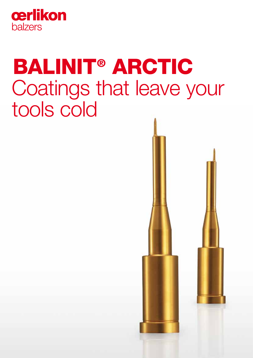

# BALINIT® ARCTIC Coatings that leave your tools cold

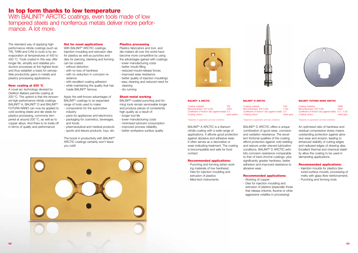#### Plastics processing

Plastics fabricators and tool- and die-makers all over the world have become more competitive by using the advantages gained with coatings:

- lower manufacturing costs
- better mould filling
- reduced mould-release forces
- improved wear resistance
- better quality of injection mouldings - easy cleaning and reduced need for cleaning
- dry running

#### Sheet-metal working

BALINIT®-coated punching and forming tools remain serviceable longer and produce pieces of consistently high quality as a result of: - longer tool life

- lower manufacturing costs
- minimised lubricant consumption
- improved process reliability
- better workpiece surface quality









# Coating colour: silver-grey

## In top form thanks to low temperature

With BALINIT® ARCTIC coatings, even tools made of low tempered steels and nonferrous metals deliver more performance. A lot more.

> With BALINIT<sup>®</sup> ARCTIC coatings. injection-moulding and extrusion dies for plastics as well as punches and dies for piercing, blanking and forming can be coated:

The standard way of applying highperformance nitride coatings (such as TiN, TiAlN and CrN) to tools is by arc evaporation at temperatures of 400 to 450 °C. Tools coated in this way offer longer life, simplify and stabilise production processes at the highest level, and thus establish a basis for perceptible productivity gains in metals and plastics processing applications.

> The boost in productivity with BALINIT<sup>®</sup> ARCTIC coatings certainly won't leave you cold!

#### New: coating at 200 °C

A novel arc technology devised by Oerlikon Balzers permits coating at 200 °C. The upshot is that the renowned high-performance nitride coatings BALINIT<sup>®</sup> A, BALINIT<sup>®</sup> D and BALINIT<sup>®</sup> FUTURA NANO can now be applied to cold-working steels and die steels for plastics processing, commonly tempered at around 200 °C, as well as to copper alloys. And there is no trade-off in terms of quality and performance!

Coating material: CrN<br>
Microhardness\* (HV 0.05): 1750 Microhardness\* (HV 0.05): Coefficient of friction\* (dry against steel): 0.5

### Hot for novel applications

- without distortion
- with no loss of hardness
- with no reduction in corrosion resistance
- with excellent coating adhesion - while maintaining the quality that has made BALINIT® famous

Apply the well-known advantages of BALINIT® coatings to an expanded range of tools used to make:

- components for the automotive industry
- parts for appliances and electronics
- packaging for cosmetics, beverages, and foods
- pharmaceutical and medical products
- sports and leisure products, toys, etc.

#### BALINIT® A ARCTIC

Coating material: TiN<br>Microhardness\* (HV 0.05): 2300 Microhardness<sup>\*</sup> (HV 0.05): Coefficient of friction\* (dry against steel): 0.4 Coating colour: example of the gold-yellow

#### \*Depends on application and test conditions

BALINIT® A ARCTIC is a titanium nitride coating with a wide range of applications. It affords good protection against abrasive and adhesive wear. It often serves as a decorative or wear-indicating treatment. The coating is biocompatible and safe for food contact.

#### Recommended applications:

- Punching and forming (when work ing materials of low hardness)
- Dies for injection moulding and
- extrusion of plastics
- Med-tech instruments

BALINIT® D ARCTIC

#### \*Depends on application and test conditions

BALINIT® D ARCTIC offers a unique

#### combination of good wear, corrosion and oxidation resistance. The excellent frictional qualities of the coating afford protection against cold welding and seizure under starved lubrication conditions. BALINIT® D ARCTIC exhibits corrosion resistance comparable to that of hard chrome coatings, plus significantly greater hardness, better adhesion and improved resistance to

abrasive wear.

#### Recommended applications:

- Working of copper

- Dies for injection moulding and

- extrusion of plastics (especially those
- that release chlorine, fluorine or other aggressive volatiles in processing)

#### BALINIT® FUTURA NANO ARCTIC

Coating material: TiAlN<br>Microhardness\* (HV 0.05): 3300 Microhardness\* (HV 0.05): Coefficient of friction\*(dry against steel): 0.3 - 0.35 Coating colour: violet-grey

\*Depends on application and test conditions

An optimised ratio of hardness and residual compressive stress means outstanding protection against abrasive wear and erosion, leading to enhanced stability of cutting edges and radiused edges of drawing dies. Excellent thermal and chemical stability allow the coating to be used in demanding applications.

#### Recommended applications:

- Injection moulds for plastics (textured-surface moulds, processing of melts with glass fibre reinforcement) - Punching and forming tools
-